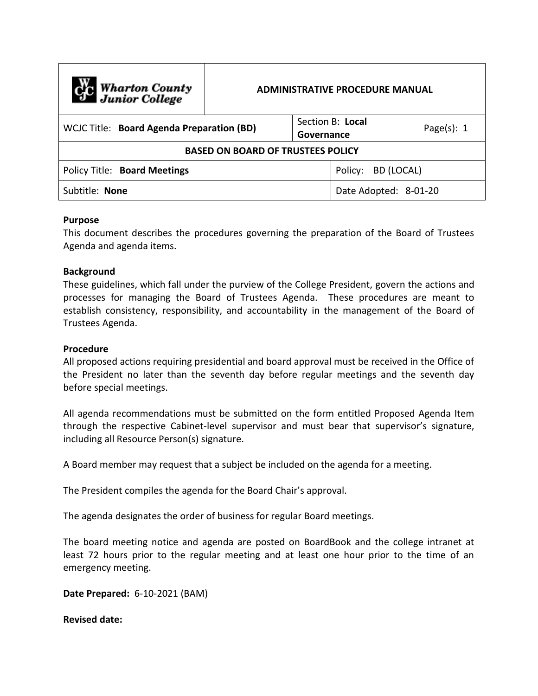| Cic Wharton County<br>Junior College      | <b>ADMINISTRATIVE PROCEDURE MANUAL</b> |            |                       |                |  |  |
|-------------------------------------------|----------------------------------------|------------|-----------------------|----------------|--|--|
| WCJC Title: Board Agenda Preparation (BD) |                                        | Governance | Section B: Local      | Page $(s)$ : 1 |  |  |
| <b>BASED ON BOARD OF TRUSTEES POLICY</b>  |                                        |            |                       |                |  |  |
| Policy Title: Board Meetings              |                                        |            | Policy: BD (LOCAL)    |                |  |  |
| Subtitle: None                            |                                        |            | Date Adopted: 8-01-20 |                |  |  |

## **Purpose**

This document describes the procedures governing the preparation of the Board of Trustees Agenda and agenda items.

## **Background**

These guidelines, which fall under the purview of the College President, govern the actions and processes for managing the Board of Trustees Agenda. These procedures are meant to establish consistency, responsibility, and accountability in the management of the Board of Trustees Agenda.

## **Procedure**

All proposed actions requiring presidential and board approval must be received in the Office of the President no later than the seventh day before regular meetings and the seventh day before special meetings.

All agenda recommendations must be submitted on the form entitled Proposed Agenda Item through the respective Cabinet-level supervisor and must bear that supervisor's signature, including all Resource Person(s) signature.

A Board member may request that a subject be included on the agenda for a meeting.

The President compiles the agenda for the Board Chair's approval.

The agenda designates the order of business for regular Board meetings.

The board meeting notice and agenda are posted on BoardBook and the college intranet at least 72 hours prior to the regular meeting and at least one hour prior to the time of an emergency meeting.

**Date Prepared:** 6-10-2021 (BAM)

**Revised date:**